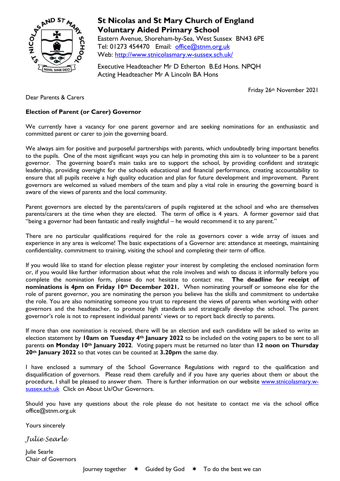

# **St Nicolas and St Mary Church of England Voluntary Aided Primary School**

Eastern Avenue, Shoreham-by-Sea, West Sussex BN43 6PE Tel: 01273 454470 Email: [office@stnm.org.uk](mailto:office@stnm.org.uk) Web:<http://www.stnicolasmary.w-sussex.sch.uk/>

Executive Headteacher Mr D Etherton B.Ed Hons. NPQH Acting Headteacher Mr A Lincoln BA Hons

Friday 26th November 2021

Dear Parents & Carers

## **Election of Parent (or Carer) Governor**

We currently have a vacancy for one parent governor and are seeking nominations for an enthusiastic and committed parent or carer to join the governing board.

We always aim for positive and purposeful partnerships with parents, which undoubtedly bring important benefits to the pupils. One of the most significant ways you can help in promoting this aim is to volunteer to be a parent governor. The governing board's main tasks are to support the school, by providing confident and strategic leadership, providing oversight for the schools educational and financial performance, creating accountability to ensure that all pupils receive a high quality education and plan for future development and improvement. Parent governors are welcomed as valued members of the team and play a vital role in ensuring the governing board is aware of the views of parents and the local community.

Parent governors are elected by the parents/carers of pupils registered at the school and who are themselves parents/carers at the time when they are elected. The term of office is 4 years. A former governor said that "being a governor had been fantastic and really insightful – he would recommend it to any parent."

There are no particular qualifications required for the role as governors cover a wide array of issues and experience in any area is welcome! The basic expectations of a Governor are: attendance at meetings, maintaining confidentiality, commitment to training, visiting the school and completing their term of office.

If you would like to stand for election please register your interest by completing the enclosed nomination form or, if you would like further information about what the role involves and wish to discuss it informally before you complete the nomination form, please do not hesitate to contact me. **The deadline for receipt of nominations is 4pm on Friday 10th December 2021.** When nominating yourself or someone else for the role of parent governor, you are nominating the person you believe has the skills and commitment to undertake the role. You are also nominating someone you trust to represent the views of parents when working with other governors and the headteacher, to promote high standards and strategically develop the school. The parent governor's role is not to represent individual parents' views or to report back directly to parents.

If more than one nomination is received, there will be an election and each candidate will be asked to write an election statement by **10am on Tuesday 4th January 2022** to be included on the voting papers to be sent to all parents **on Monday 10th January 2022**. Voting papers must be returned no later than **12 noon on Thursday 20th January 2022** so that votes can be counted at **3.20pm** the same day.

I have enclosed a summary of the School Governance Regulations with regard to the qualification and disqualification of governors. Please read them carefully and if you have any queries about them or about the procedure, I shall be pleased to answer them. There is further information on our website [www.stnicolasmary.w](http://www.stnicolasmary.w-sussex.sch.uk/)[sussex.sch.uk](http://www.stnicolasmary.w-sussex.sch.uk/) Click on About Us/Our Governors.

Should you have any questions about the role please do not hesitate to contact me via the school office office@stnm.org.uk

Yours sincerely

*Julie Searle*

Julie Searle Chair of Governors